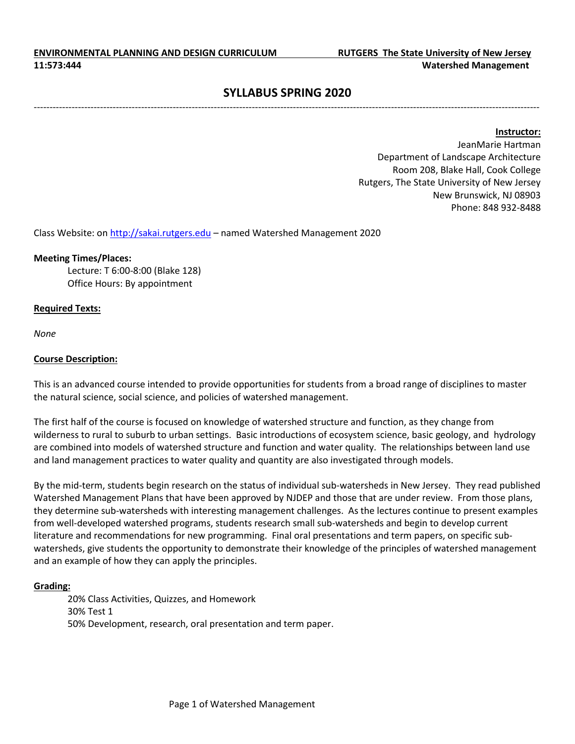# **SYLLABUS SPRING 2020** ----------------------------------------------------------------------------------------------------------------------------------------------------------------

**Instructor:** 

JeanMarie Hartman Department of Landscape Architecture Room 208, Blake Hall, Cook College Rutgers, The State University of New Jersey New Brunswick, NJ 08903 Phone: 848 932-8488

Class Website: on [http://sakai.rutgers.edu](http://sakai.rutgers.edu/) – named Watershed Management 2020

### **Meeting Times/Places:**

Lecture: T 6:00-8:00 (Blake 128) Office Hours: By appointment

### **Required Texts:**

*None* 

### **Course Description:**

This is an advanced course intended to provide opportunities for students from a broad range of disciplines to master the natural science, social science, and policies of watershed management.

The first half of the course is focused on knowledge of watershed structure and function, as they change from wilderness to rural to suburb to urban settings. Basic introductions of ecosystem science, basic geology, and hydrology are combined into models of watershed structure and function and water quality. The relationships between land use and land management practices to water quality and quantity are also investigated through models.

By the mid-term, students begin research on the status of individual sub-watersheds in New Jersey. They read published Watershed Management Plans that have been approved by NJDEP and those that are under review. From those plans, they determine sub-watersheds with interesting management challenges. As the lectures continue to present examples from well-developed watershed programs, students research small sub-watersheds and begin to develop current literature and recommendations for new programming. Final oral presentations and term papers, on specific subwatersheds, give students the opportunity to demonstrate their knowledge of the principles of watershed management and an example of how they can apply the principles.

### **Grading:**

20% Class Activities, Quizzes, and Homework 30% Test 1 50% Development, research, oral presentation and term paper.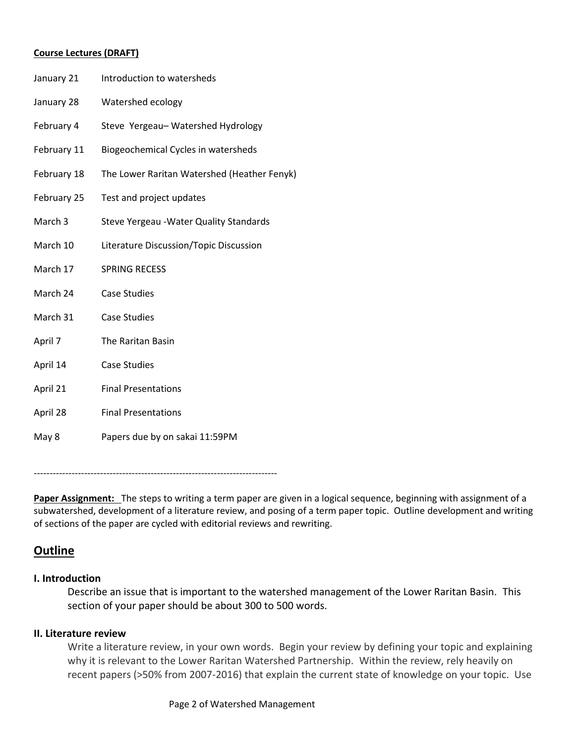### **Course Lectures (DRAFT)**

| January 21  | Introduction to watersheds                  |
|-------------|---------------------------------------------|
| January 28  | Watershed ecology                           |
| February 4  | Steve Yergeau-Watershed Hydrology           |
| February 11 | Biogeochemical Cycles in watersheds         |
| February 18 | The Lower Raritan Watershed (Heather Fenyk) |
| February 25 | Test and project updates                    |
| March 3     | Steve Yergeau - Water Quality Standards     |
| March 10    | Literature Discussion/Topic Discussion      |
| March 17    | <b>SPRING RECESS</b>                        |
| March 24    | <b>Case Studies</b>                         |
| March 31    | <b>Case Studies</b>                         |
| April 7     | The Raritan Basin                           |
| April 14    | <b>Case Studies</b>                         |
| April 21    | <b>Final Presentations</b>                  |
| April 28    | <b>Final Presentations</b>                  |
| May 8       | Papers due by on sakai 11:59PM              |

-----------------------------------------------------------------------------

**Paper Assignment:** The steps to writing a term paper are given in a logical sequence, beginning with assignment of a subwatershed, development of a literature review, and posing of a term paper topic. Outline development and writing of sections of the paper are cycled with editorial reviews and rewriting.

# **Outline**

## **I. Introduction**

Describe an issue that is important to the watershed management of the Lower Raritan Basin. This section of your paper should be about 300 to 500 words.

## **II. Literature review**

Write a literature review, in your own words. Begin your review by defining your topic and explaining why it is relevant to the Lower Raritan Watershed Partnership. Within the review, rely heavily on recent papers (>50% from 2007-2016) that explain the current state of knowledge on your topic. Use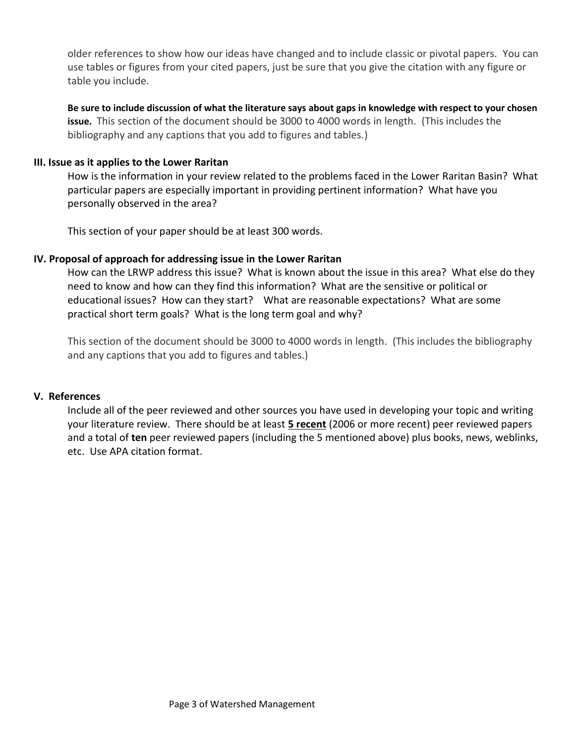older references to show how our ideas have changed and to include classic or pivotal papers. You can use tables or figures from your cited papers, just be sure that you give the citation with any figure or table you include.

**Be sure to include discussion of what the literature says about gaps in knowledge with respect to your chosen issue.** This section of the document should be 3000 to 4000 words in length. (This includes the bibliography and any captions that you add to figures and tables.)

## **III. Issue as it applies to the Lower Raritan**

How is the information in your review related to the problems faced in the Lower Raritan Basin? What particular papers are especially important in providing pertinent information? What have you personally observed in the area?

This section of your paper should be at least 300 words.

### **IV. Proposal of approach for addressing issue in the Lower Raritan**

How can the LRWP address this issue? What is known about the issue in this area? What else do they need to know and how can they find this information? What are the sensitive or political or educational issues? How can they start? What are reasonable expectations? What are some practical short term goals? What is the long term goal and why?

This section of the document should be 3000 to 4000 words in length. (This includes the bibliography and any captions that you add to figures and tables.)

### **V. References**

Include all of the peer reviewed and other sources you have used in developing your topic and writing your literature review. There should be at least **5 recent** (2006 or more recent) peer reviewed papers and a total of **ten** peer reviewed papers (including the 5 mentioned above) plus books, news, weblinks, etc. Use APA citation format.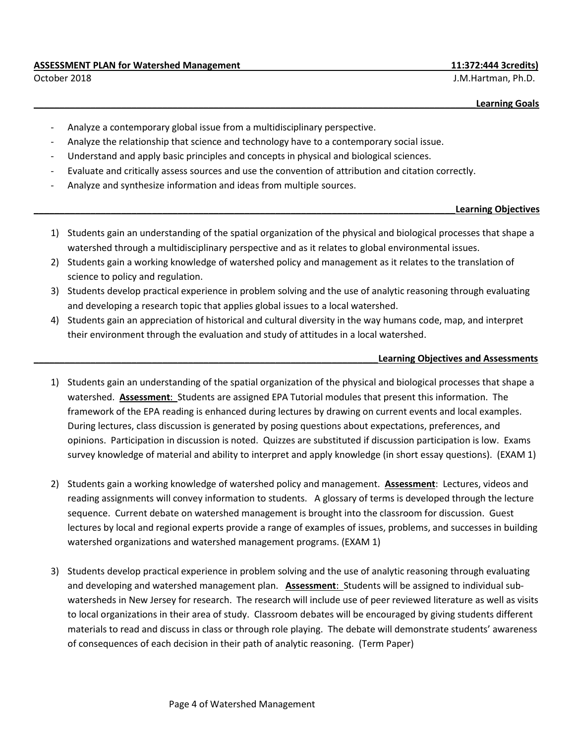### **ASSESSMENT PLAN for Watershed Management 11:372:444 3credits)**

October 2018 J.M.Hartman, Ph.D.

**Learning Goals** 

- Analyze a contemporary global issue from a multidisciplinary perspective.
- Analyze the relationship that science and technology have to a contemporary social issue.
- Understand and apply basic principles and concepts in physical and biological sciences.
- Evaluate and critically assess sources and use the convention of attribution and citation correctly.
- Analyze and synthesize information and ideas from multiple sources.

### **\_\_\_\_\_\_\_\_\_\_\_\_\_\_\_\_\_\_\_\_\_\_\_\_\_\_\_\_\_\_\_\_\_\_\_\_\_\_\_\_\_\_\_\_\_\_\_\_\_\_\_\_\_\_\_\_\_\_\_\_\_\_\_\_\_\_\_\_\_\_\_\_\_\_\_\_\_\_\_\_\_\_Learning Objectives**

- 1) Students gain an understanding of the spatial organization of the physical and biological processes that shape a watershed through a multidisciplinary perspective and as it relates to global environmental issues.
- 2) Students gain a working knowledge of watershed policy and management as it relates to the translation of science to policy and regulation.
- 3) Students develop practical experience in problem solving and the use of analytic reasoning through evaluating and developing a research topic that applies global issues to a local watershed.
- 4) Students gain an appreciation of historical and cultural diversity in the way humans code, map, and interpret their environment through the evaluation and study of attitudes in a local watershed.

### **\_\_\_\_\_\_\_\_\_\_\_\_\_\_\_\_\_\_\_\_\_\_\_\_\_\_\_\_\_\_\_\_\_\_\_\_\_\_\_\_\_\_\_\_\_\_\_\_\_\_\_\_\_\_\_\_\_\_\_\_\_\_\_\_\_\_\_Learning Objectives and Assessments**

- 1) Students gain an understanding of the spatial organization of the physical and biological processes that shape a watershed. **Assessment**: Students are assigned EPA Tutorial modules that present this information. The framework of the EPA reading is enhanced during lectures by drawing on current events and local examples. During lectures, class discussion is generated by posing questions about expectations, preferences, and opinions. Participation in discussion is noted. Quizzes are substituted if discussion participation is low. Exams survey knowledge of material and ability to interpret and apply knowledge (in short essay questions). (EXAM 1)
- 2) Students gain a working knowledge of watershed policy and management. **Assessment**: Lectures, videos and reading assignments will convey information to students. A glossary of terms is developed through the lecture sequence. Current debate on watershed management is brought into the classroom for discussion. Guest lectures by local and regional experts provide a range of examples of issues, problems, and successes in building watershed organizations and watershed management programs. (EXAM 1)
- 3) Students develop practical experience in problem solving and the use of analytic reasoning through evaluating and developing and watershed management plan. **Assessment**: Students will be assigned to individual subwatersheds in New Jersey for research. The research will include use of peer reviewed literature as well as visits to local organizations in their area of study. Classroom debates will be encouraged by giving students different materials to read and discuss in class or through role playing. The debate will demonstrate students' awareness of consequences of each decision in their path of analytic reasoning. (Term Paper)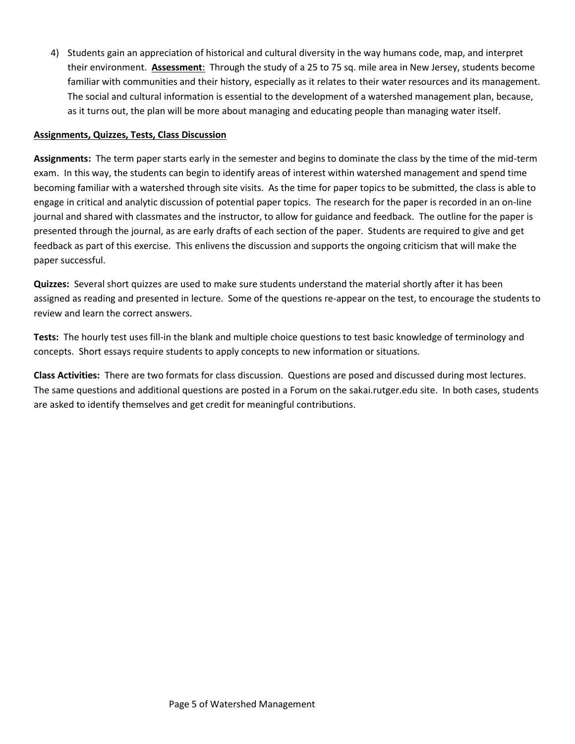4) Students gain an appreciation of historical and cultural diversity in the way humans code, map, and interpret their environment. **Assessment**: Through the study of a 25 to 75 sq. mile area in New Jersey, students become familiar with communities and their history, especially as it relates to their water resources and its management. The social and cultural information is essential to the development of a watershed management plan, because, as it turns out, the plan will be more about managing and educating people than managing water itself.

### **Assignments, Quizzes, Tests, Class Discussion**

**Assignments:** The term paper starts early in the semester and begins to dominate the class by the time of the mid-term exam. In this way, the students can begin to identify areas of interest within watershed management and spend time becoming familiar with a watershed through site visits. As the time for paper topics to be submitted, the class is able to engage in critical and analytic discussion of potential paper topics. The research for the paper is recorded in an on-line journal and shared with classmates and the instructor, to allow for guidance and feedback. The outline for the paper is presented through the journal, as are early drafts of each section of the paper. Students are required to give and get feedback as part of this exercise. This enlivens the discussion and supports the ongoing criticism that will make the paper successful.

**Quizzes:** Several short quizzes are used to make sure students understand the material shortly after it has been assigned as reading and presented in lecture. Some of the questions re-appear on the test, to encourage the students to review and learn the correct answers.

**Tests:** The hourly test uses fill-in the blank and multiple choice questions to test basic knowledge of terminology and concepts. Short essays require students to apply concepts to new information or situations.

**Class Activities:** There are two formats for class discussion. Questions are posed and discussed during most lectures. The same questions and additional questions are posted in a Forum on the sakai.rutger.edu site. In both cases, students are asked to identify themselves and get credit for meaningful contributions.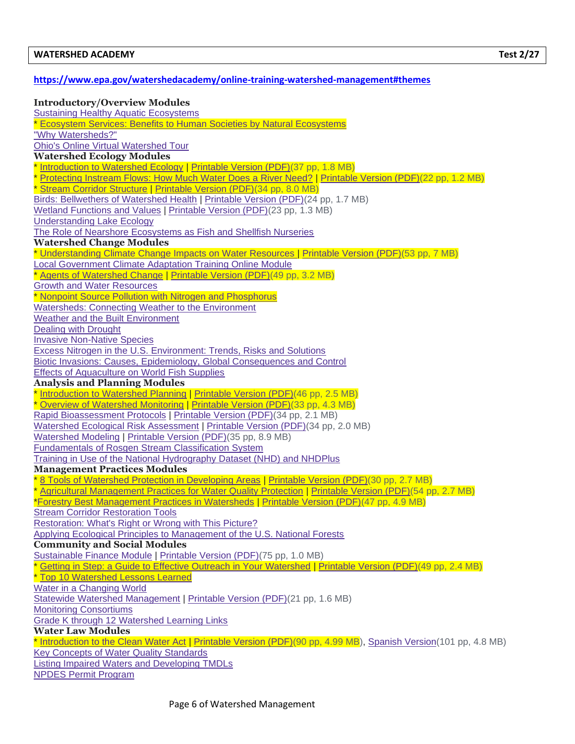### **<https://www.epa.gov/watershedacademy/online-training-watershed-management#themes>**

### **Introductory/Overview Modules**

**[Sustaining Healthy Aquatic Ecosystems](https://www.epa.gov/watershedacademy/sustaining-healthy-freshwater-ecosystems)** \* [Ecosystem Services: Benefits to Human Societies by Natural Ecosystems](https://www.epa.gov/watershedacademy/ecosystem-services-benefits-supplied-human-societies-natural-ecosystems) ["Why Watersheds?"](https://www.epa.gov/watershedacademy/why-watersheds) [Ohio's Online Virtual Watershed Tour](https://www.epa.gov/watershedacademy/ohios-online-virtual-watershed-tour) **Watershed Ecology Modules** \* [Introduction to Watershed Ecology](http://cfpub.epa.gov/watertrain/moduleFrame.cfm?module_id=20&parent_object_id=516&object_id=516) | [Printable Version \(PDF\)\(](http://cfpub.epa.gov/watertrain/pdf/modules/WatershedEcology.pdf)37 pp, 1.8 MB) [Protecting Instream Flows: How Much Water Does a River Need?](http://cfpub.epa.gov/watertrain/moduleFrame.cfm?module_id=18&parent_object_id=264&object_id=264) | [Printable Version \(PDF\)\(](http://cfpub.epa.gov/watertrain/pdf/modules/protectinginstream.pdf)22 pp, 1.2 MB) \* [Stream Corridor Structure](http://cfpub.epa.gov/watertrain/moduleFrame.cfm?module_id=21&parent_object_id=610&object_id=610) | [Printable Version \(PDF\)\(](http://cfpub.epa.gov/watertrain/pdf/modules/new_streamcorridor.pdf)34 pp, 8.0 MB) [Birds: Bellwethers of Watershed Health](http://cfpub.epa.gov/watertrain/moduleFrame.cfm?module_id=17&parent_object_id=263&object_id=263) | [Printable Version \(PDF\)\(](http://cfpub.epa.gov/watertrain/pdf/modules/Birds.pdf)24 pp, 1.7 MB) [Wetland Functions and Values](http://cfpub.epa.gov/watertrain/moduleFrame.cfm?module_id=16&parent_object_id=262&object_id=262) | [Printable Version \(PDF\)\(](http://cfpub.epa.gov/watertrain/pdf/modules/WetlandsFunctions.pdf)23 pp, 1.3 MB) [Understanding Lake Ecology](https://www.epa.gov/watershedacademy/understanding-lake-ecology) [The Role of Nearshore Ecosystems as Fish and Shellfish Nurseries](https://www.epa.gov/watershedacademy/role-nearshore-ecosystems-fish-and-shellfish-nurseries) **Watershed Change Modules** \* [Understanding Climate Change Impacts on Water Resources](https://www.epa.gov/watershedacademy/understanding-climate-change-impacts-water-resources) | [Printable Version \(PDF\)\(](https://www.epa.gov/sites/production/files/2016-01/documents/understanding_climate_change_impacts_on_water_resources_transcript.pdf)53 pp, 7 MB) [Local Government Climate Adaptation Training Online Module](https://www.epa.gov/localadaptationtraining) \* [Agents of Watershed Change](http://cfpub.epa.gov/watertrain/moduleFrame.cfm?module_id=22&parent_object_id=681&object_id=681) | [Printable Version \(PDF\)\(](http://cfpub.epa.gov/watertrain/pdf/modules/agents.pdf)49 pp, 3.2 MB) [Growth and Water Resources](http://cfpub.epa.gov/watertrain/moduleFrame.cfm?module_id=6&parent_object_id=80&object_id=80) \* [Nonpoint Source Pollution with Nitrogen and Phosphorus](https://www.epa.gov/watershedacademy/nonpoint-source-pollution-nitrogen-and-phosphorus) [Watersheds: Connecting Weather to the Environment](https://www.epa.gov/watershedacademy/watersheds-connecting-weather-environment) [Weather and the Built Environment](https://www.epa.gov/watershedacademy/weather-and-built-environment) [Dealing with Drought](https://www.epa.gov/watershedacademy/dealing-drought) [Invasive Non-Native Species](https://www.epa.gov/watershedacademy/invasive-non-native-species) [Excess Nitrogen in the U.S. Environment: Trends, Risks and Solutions](https://www.epa.gov/watershedacademy/excess-nitrogen-us-environment-trends-risks-and-solutions) [Biotic Invasions: Causes, Epidemiology, Global Consequences and Control](https://www.epa.gov/watershedacademy/biotic-invasions-causes-epidemiology-global-consequences-and-control) [Effects of Aquaculture on World Fish Supplies](https://www.epa.gov/watershedacademy/effects-aquaculture-world-fish-supplies) **Analysis and Planning Modules** \* [Introduction to Watershed Planning](http://cfpub.epa.gov/watertrain/moduleFrame.cfm?module_id=70&parent_object_id=2867&object_id=2867) | [Printable Version \(PDF\)\(](http://cfpub.epa.gov/watertrain/pdf/modules/Introduction_to_Watershed_Planning.pdf)46 pp, 2.5 MB) \* [Overview of Watershed Monitoring](http://cfpub.epa.gov/watertrain/moduleFrame.cfm?module_id=24&parent_object_id=915&object_id=915) | [Printable Version \(PDF\)\(](http://cfpub.epa.gov/watertrain/pdf/modules/monitoring.pdf)33 pp, 4.3 MB) [Rapid Bioassessment Protocols](http://cfpub.epa.gov/watertrain/moduleFrame.cfm?module_id=25&parent_object_id=1019&object_id=1019) | [Printable Version \(PDF\)\(](http://cfpub.epa.gov/watertrain/pdf/modules/rapbioassess.pdf)34 pp, 2.1 MB) [Watershed Ecological Risk Assessment](http://cfpub.epa.gov/watertrain/moduleFrame.cfm?module_id=5&parent_object_id=5&object_id=5) | [Printable Version \(PDF\)\(](http://cfpub.epa.gov/watertrain/pdf/modules/wshedecorisk.pdf)34 pp, 2.0 MB) [Watershed Modeling](http://cfpub.epa.gov/watertrain/moduleFrame.cfm?module_id=26&parent_object_id=1087&object_id=1087) | [Printable Version \(PDF\)\(](http://cfpub.epa.gov/watertrain/pdf/modules/WshedModTools.pdf)35 pp, 8.9 MB) [Fundamentals of Rosgen Stream Classification System](http://cfpub.epa.gov/watertrain/moduleFrame.cfm?module_id=27&parent_object_id=1189&object_id=1189) [Training in Use of the National Hydrography Dataset \(NHD\) and NHDPlus](https://www.epa.gov/watershedacademy/training-use-national-hydrography-dataset-nhd-and-nhdplus) **Management Practices Modules** [8 Tools of Watershed Protection in Developing Areas](http://cfpub.epa.gov/watertrain/moduleFrame.cfm?module_id=32&parent_object_id=1278&object_id=1278) | [Printable Version \(PDF\)\(](http://cfpub.epa.gov/watertrain/pdf/modules/new_eighttools.pdf)30 pp, 2.7 MB) [Agricultural Management Practices for Water Quality Protection](http://cfpub.epa.gov/watertrain/moduleFrame.cfm?module_id=33&parent_object_id=1362&object_id=1362) | [Printable Version \(PDF\)\(](http://cfpub.epa.gov/watertrain/pdf/modules/Agriculture.pdf)54 pp, 2.7 MB) [\\*Forestry Best Management Practices in Watersheds](http://cfpub.epa.gov/watertrain/moduleFrame.cfm?module_id=34&parent_object_id=1517&object_id=1517) | [Printable Version \(PDF\)\(](http://cfpub.epa.gov/watertrain/pdf/modules/Forestry.pdf)47 pp, 4.9 MB) **[Stream Corridor Restoration Tools](https://www.epa.gov/watershedacademy/stream-corridor-restoration-tools)** [Restoration: What's Right or Wrong with This Picture?](http://cfpub.epa.gov/watertrain/moduleFrame.cfm?module_id=54&parent_object_id=1939&object_id=1939) [Applying Ecological Principles to Management of the U.S. National Forests](https://www.epa.gov/watershedacademy/applying-ecological-principles-management-us-national-forests) **Community and Social Modules** [Sustainable Finance Module](http://cfpub.epa.gov/watertrain/moduleSingleFrame.cfm?module_id=62&parent_object_id=2330&object_id=2330) | [Printable Version \(PDF\)\(](http://cfpub.epa.gov/watertrain/pdf/modules/sustainablefinance.pdf)75 pp, 1.0 MB) \* [Getting in Step: a Guide to Effective Outreach in Your Watershed](http://cfpub.epa.gov/watertrain/moduleFrame.cfm?module_id=37&parent_object_id=1784&object_id=1784) | [Printable Version \(PDF\)\(](http://cfpub.epa.gov/watertrain/pdf/modules/NEWgettinginstep.pdf)49 pp, 2.4 MB) \* [Top 10 Watershed Lessons Learned](https://www.epa.gov/watershedacademy/top-10-watershed-lessons-learned) [Water in a Changing World](https://www.epa.gov/watershedacademy/water-changing-world) [Statewide Watershed Management](http://cfpub.epa.gov/watertrain/moduleFrame.cfm?module_id=35&parent_object_id=1675&object_id=1675) | [Printable Version \(PDF\)\(](http://cfpub.epa.gov/watertrain/pdf/modules/statewide.pdf)21 pp, 1.6 MB) [Monitoring Consortiums](http://cfpub.epa.gov/watertrain/moduleFrame.cfm?module_id=36&parent_object_id=1716&object_id=1716) [Grade K through 12 Watershed Learning Links](https://www.epa.gov/watershedacademy/grade-k-through-12-watershed-learning-links) **Water Law Modules** \* [Introduction to the Clean Water Act](http://cfpub.epa.gov/watertrain/moduleFrame.cfm?module_id=69&parent_object_id=2569&object_id=2569) | [Printable Version \(PDF\)\(](http://cfpub.epa.gov/watertrain/pdf/modules/IntrotoCWA.pdf)90 pp, 4.99 MB), [Spanish Version\(](http://cfpub.epa.gov/watertrain/pdf/modules/Introduccion_a_la_Ley_de_Aqua_Limpia.pdf)101 pp, 4.8 MB) [Key Concepts of Water Quality Standards](https://www.epa.gov/watershedacademy/key-concepts-water-quality-standards) [Listing Impaired Waters and Developing TMDLs](https://www.epa.gov/watershedacademy/listing-impaired-waters-and-developing-tmdls) [NPDES Permit Program](https://www.epa.gov/watershedacademy/npdes-permit-program)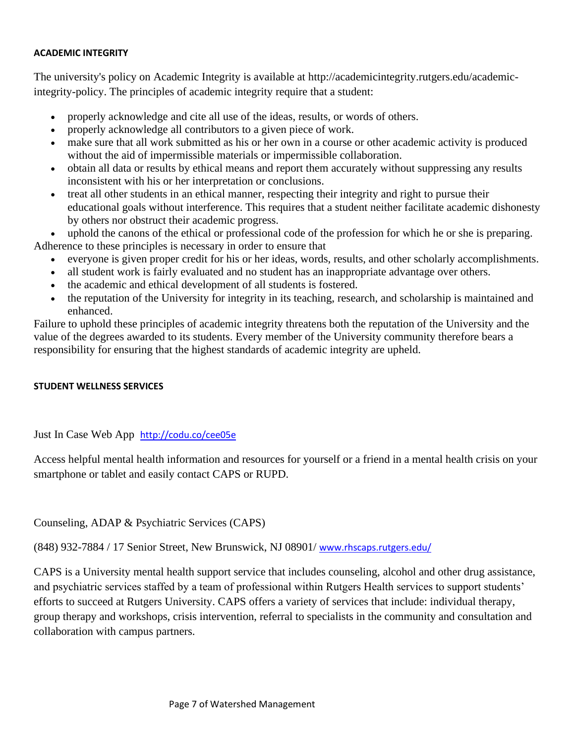### **ACADEMIC INTEGRITY**

The university's policy on Academic Integrity is available at [http://academicintegrity.rutgers.edu/academic](http://academicintegrity.rutgers.edu/academic-integrity-policy)[integrity-policy.](http://academicintegrity.rutgers.edu/academic-integrity-policy) The principles of academic integrity require that a student:

- properly acknowledge and cite all use of the ideas, results, or words of others.
- properly acknowledge all contributors to a given piece of work.
- make sure that all work submitted as his or her own in a course or other academic activity is produced without the aid of impermissible materials or impermissible collaboration.
- obtain all data or results by ethical means and report them accurately without suppressing any results inconsistent with his or her interpretation or conclusions.
- treat all other students in an ethical manner, respecting their integrity and right to pursue their educational goals without interference. This requires that a student neither facilitate academic dishonesty by others nor obstruct their academic progress.

uphold the canons of the ethical or professional code of the profession for which he or she is preparing. Adherence to these principles is necessary in order to ensure that

- everyone is given proper credit for his or her ideas, words, results, and other scholarly accomplishments.
- all student work is fairly evaluated and no student has an inappropriate advantage over others.
- the academic and ethical development of all students is fostered.
- the reputation of the University for integrity in its teaching, research, and scholarship is maintained and enhanced.

Failure to uphold these principles of academic integrity threatens both the reputation of the University and the value of the degrees awarded to its students. Every member of the University community therefore bears a responsibility for ensuring that the highest standards of academic integrity are upheld.

## **STUDENT WELLNESS SERVICES**

[Just In Case Web App](http://m.appcreatorpro.com/m/rutgers/fda9f59ca5/fda9f59ca5.html) <http://codu.co/cee05e>

Access helpful mental health information and resources for yourself or a friend in a mental health crisis on your smartphone or tablet and easily contact CAPS or RUPD.

Counseling, ADAP & Psychiatric Services (CAPS)

(848) 932-7884 / 17 Senior Street, New Brunswick, NJ 08901/ [www.rhscaps.rutgers.edu/](http://www.rhscaps.rutgers.edu/)

CAPS is a University mental health support service that includes counseling, alcohol and other drug assistance, and psychiatric services staffed by a team of professional within Rutgers Health services to support students' efforts to succeed at Rutgers University. CAPS offers a variety of services that include: individual therapy, group therapy and workshops, crisis intervention, referral to specialists in the community and consultation and collaboration with campus partners.